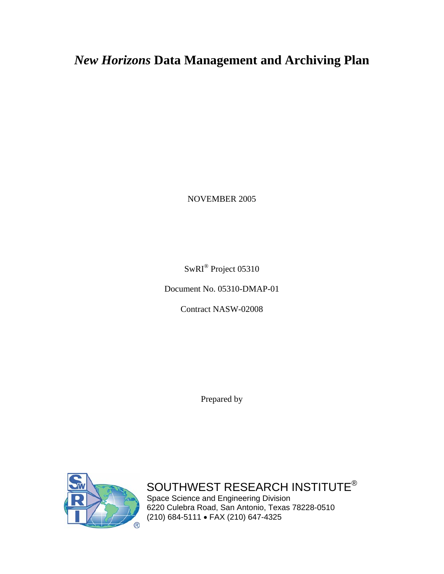# *New Horizons* **Data Management and Archiving Plan**

NOVEMBER 2005

SwRI® Project 05310

Document No. 05310-DMAP-01

Contract NASW-02008

Prepared by



SOUTHWEST RESEARCH INSTITUTE® Space Science and Engineering Division 6220 Culebra Road, San Antonio, Texas 78228-0510 (210) 684-5111 • FAX (210) 647-4325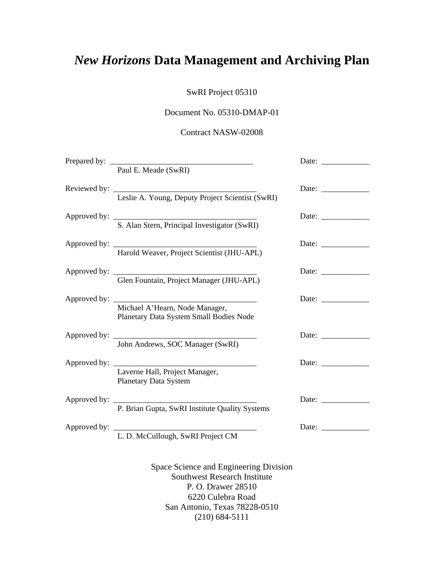# *New Horizons* **Data Management and Archiving Plan**

SwRI Project 05310

# Document No. 05310-DMAP-01

# Contract NASW-02008

| Prepared by: | Paul E. Meade (SwRI)                                                                                                                                      |                                                                           |
|--------------|-----------------------------------------------------------------------------------------------------------------------------------------------------------|---------------------------------------------------------------------------|
|              | Leslie A. Young, Deputy Project Scientist (SwRI)                                                                                                          | Date:                                                                     |
|              | S. Alan Stern, Principal Investigator (SwRI)                                                                                                              |                                                                           |
|              | Harold Weaver, Project Scientist (JHU-APL)                                                                                                                |                                                                           |
|              | Glen Fountain, Project Manager (JHU-APL)                                                                                                                  | Date: $\frac{1}{\sqrt{1-\frac{1}{2}}\cdot\frac{1}{2}}$                    |
|              | Michael A'Hearn, Node Manager,<br>Planetary Data System Small Bodies Node                                                                                 | Date: $\frac{1}{\sqrt{1-\frac{1}{2}}\cdot\frac{1}{\sqrt{1-\frac{1}{2}}}}$ |
|              | John Andrews, SOC Manager (SwRI)                                                                                                                          | Date:                                                                     |
|              | Laverne Hall, Project Manager,<br>Planetary Data System                                                                                                   |                                                                           |
|              | P. Brian Gupta, SwRI Institute Quality Systems                                                                                                            | Date: $\frac{1}{\sqrt{1-\frac{1}{2}}\cdot\frac{1}{\sqrt{1-\frac{1}{2}}}}$ |
|              | L. D. McCullough, SwRI Project CM                                                                                                                         | Date: $\qquad \qquad$                                                     |
|              | Space Science and Engineering Division<br><b>Southwest Research Institute</b><br>P. O. Drawer 28510<br>6220 Culebra Road<br>San Antonio, Texas 78228-0510 |                                                                           |

(210) 684-5111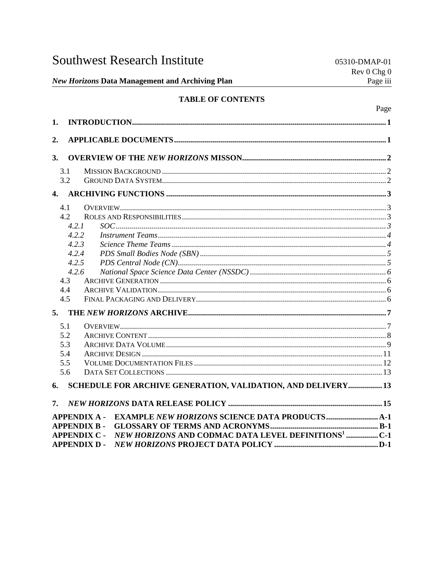| <b>Southwest Research Institute</b> |
|-------------------------------------|
|-------------------------------------|

Page

# **TABLE OF CONTENTS**

| 1.                                                                                     |  |
|----------------------------------------------------------------------------------------|--|
| 2.                                                                                     |  |
|                                                                                        |  |
| 3.                                                                                     |  |
| 3.1                                                                                    |  |
| 3.2                                                                                    |  |
|                                                                                        |  |
| 4.1                                                                                    |  |
| 4.2                                                                                    |  |
| 4.2.1                                                                                  |  |
| 4.2.2                                                                                  |  |
| 4.2.3                                                                                  |  |
| 4.2.4                                                                                  |  |
| 4.2.5                                                                                  |  |
| 4.2.6                                                                                  |  |
| 4.3                                                                                    |  |
| 4.4                                                                                    |  |
| 4.5                                                                                    |  |
|                                                                                        |  |
| 5.1                                                                                    |  |
| 5.2                                                                                    |  |
| 5.3                                                                                    |  |
| 5.4                                                                                    |  |
| 5.5                                                                                    |  |
| 5.6                                                                                    |  |
| SCHEDULE FOR ARCHIVE GENERATION, VALIDATION, AND DELIVERY 13<br>6.                     |  |
| 7.                                                                                     |  |
| <b>APPENDIX A-</b>                                                                     |  |
| <b>APPENDIX B-</b>                                                                     |  |
| NEW HORIZONS AND CODMAC DATA LEVEL DEFINITIONS <sup>1</sup> C-1<br><b>APPENDIX C -</b> |  |
| <b>APPENDIX D-</b>                                                                     |  |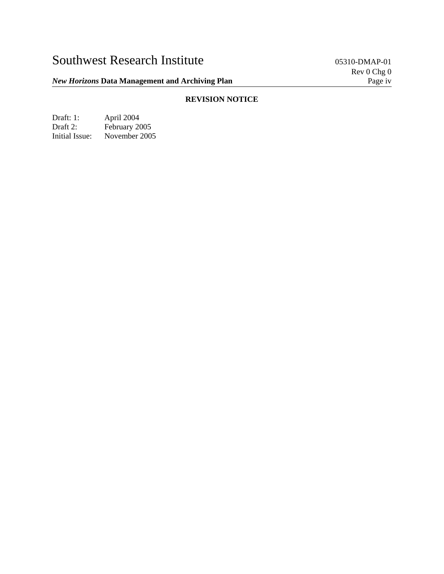# *New Horizons* Data Management and Archiving Plan **Page 10 Access 2014** Page iv

# **REVISION NOTICE**

Draft: 1: April 2004<br>Draft 2: February 20 Draft 2: February 2005<br>Initial Issue: November 2005 November 2005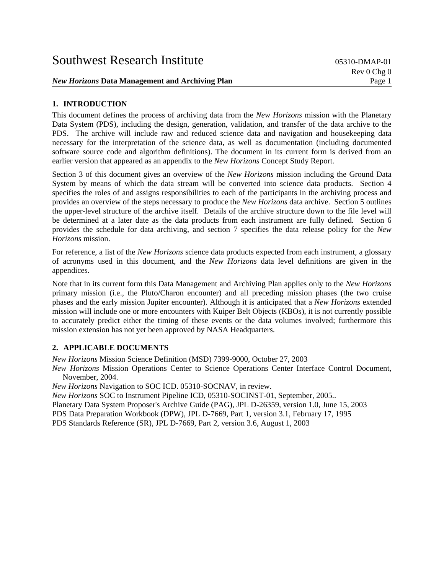## **1. INTRODUCTION**

This document defines the process of archiving data from the *New Horizons* mission with the Planetary Data System (PDS), including the design, generation, validation, and transfer of the data archive to the PDS. The archive will include raw and reduced science data and navigation and housekeeping data necessary for the interpretation of the science data, as well as documentation (including documented software source code and algorithm definitions). The document in its current form is derived from an earlier version that appeared as an appendix to the *New Horizons* Concept Study Report.

Section 3 of this document gives an overview of the *New Horizons* mission including the Ground Data System by means of which the data stream will be converted into science data products. Section 4 specifies the roles of and assigns responsibilities to each of the participants in the archiving process and provides an overview of the steps necessary to produce the *New Horizons* data archive. Section 5 outlines the upper-level structure of the archive itself. Details of the archive structure down to the file level will be determined at a later date as the data products from each instrument are fully defined. Section 6 provides the schedule for data archiving, and section 7 specifies the data release policy for the *New Horizons* mission.

For reference, a list of the *New Horizons* science data products expected from each instrument, a glossary of acronyms used in this document, and the *New Horizons* data level definitions are given in the appendices.

Note that in its current form this Data Management and Archiving Plan applies only to the *New Horizons* primary mission (i.e., the Pluto/Charon encounter) and all preceding mission phases (the two cruise phases and the early mission Jupiter encounter). Although it is anticipated that a *New Horizons* extended mission will include one or more encounters with Kuiper Belt Objects (KBOs), it is not currently possible to accurately predict either the timing of these events or the data volumes involved; furthermore this mission extension has not yet been approved by NASA Headquarters.

### **2. APPLICABLE DOCUMENTS**

*New Horizons* Mission Science Definition (MSD) 7399-9000, October 27, 2003

*New Horizons* Mission Operations Center to Science Operations Center Interface Control Document, November, 2004.

*New Horizons* Navigation to SOC ICD. 05310-SOCNAV, in review.

*New Horizons* SOC to Instrument Pipeline ICD, 05310-SOCINST-01, September, 2005.. Planetary Data System Proposer's Archive Guide (PAG), JPL D-26359, version 1.0, June 15, 2003 PDS Data Preparation Workbook (DPW), JPL D-7669, Part 1, version 3.1, February 17, 1995 PDS Standards Reference (SR), JPL D-7669, Part 2, version 3.6, August 1, 2003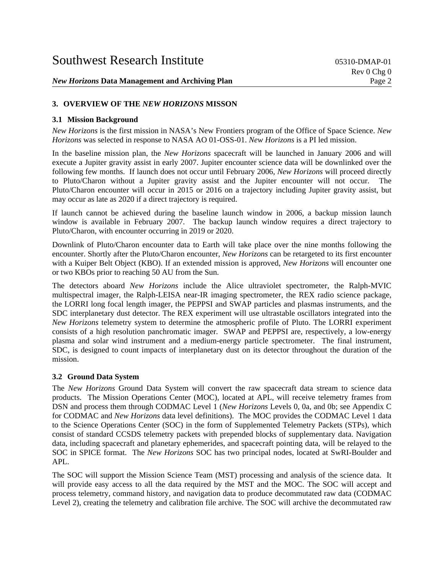## **3. OVERVIEW OF THE** *NEW HORIZONS* **MISSON**

### **3.1 Mission Background**

*New Horizons* is the first mission in NASA's New Frontiers program of the Office of Space Science. *New Horizons* was selected in response to NASA AO 01-OSS-01. *New Horizons* is a PI led mission.

In the baseline mission plan, the *New Horizons* spacecraft will be launched in January 2006 and will execute a Jupiter gravity assist in early 2007. Jupiter encounter science data will be downlinked over the following few months. If launch does not occur until February 2006, *New Horizons* will proceed directly to Pluto/Charon without a Jupiter gravity assist and the Jupiter encounter will not occur. The Pluto/Charon encounter will occur in 2015 or 2016 on a trajectory including Jupiter gravity assist, but may occur as late as 2020 if a direct trajectory is required.

If launch cannot be achieved during the baseline launch window in 2006, a backup mission launch window is available in February 2007. The backup launch window requires a direct trajectory to Pluto/Charon, with encounter occurring in 2019 or 2020.

Downlink of Pluto/Charon encounter data to Earth will take place over the nine months following the encounter. Shortly after the Pluto/Charon encounter, *New Horizons* can be retargeted to its first encounter with a Kuiper Belt Object (KBO). If an extended mission is approved, *New Horizons* will encounter one or two KBOs prior to reaching 50 AU from the Sun.

The detectors aboard *New Horizons* include the Alice ultraviolet spectrometer, the Ralph-MVIC multispectral imager, the Ralph-LEISA near-IR imaging spectrometer, the REX radio science package, the LORRI long focal length imager, the PEPPSI and SWAP particles and plasmas instruments, and the SDC interplanetary dust detector. The REX experiment will use ultrastable oscillators integrated into the *New Horizons* telemetry system to determine the atmospheric profile of Pluto. The LORRI experiment consists of a high resolution panchromatic imager. SWAP and PEPPSI are, respectively, a low-energy plasma and solar wind instrument and a medium-energy particle spectrometer. The final instrument, SDC, is designed to count impacts of interplanetary dust on its detector throughout the duration of the mission.

### **3.2 Ground Data System**

The *New Horizons* Ground Data System will convert the raw spacecraft data stream to science data products. The Mission Operations Center (MOC), located at APL, will receive telemetry frames from DSN and process them through CODMAC Level 1 (*New Horizons* Levels 0, 0a, and 0b; see Appendix C for CODMAC and *New Horizons* data level definitions). The MOC provides the CODMAC Level 1 data to the Science Operations Center (SOC) in the form of Supplemented Telemetry Packets (STPs), which consist of standard CCSDS telemetry packets with prepended blocks of supplementary data. Navigation data, including spacecraft and planetary ephemerides, and spacecraft pointing data, will be relayed to the SOC in SPICE format. The *New Horizons* SOC has two principal nodes, located at SwRI-Boulder and APL.

The SOC will support the Mission Science Team (MST) processing and analysis of the science data. It will provide easy access to all the data required by the MST and the MOC. The SOC will accept and process telemetry, command history, and navigation data to produce decommutated raw data (CODMAC Level 2), creating the telemetry and calibration file archive. The SOC will archive the decommutated raw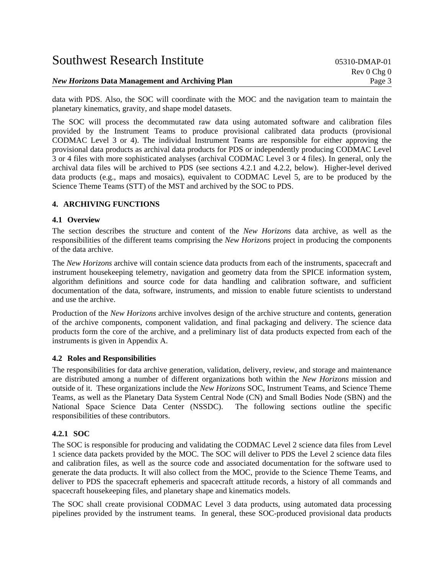| <b>Southwest Research Institute</b>                    | 05310-DMAP-01 |
|--------------------------------------------------------|---------------|
|                                                        | Rev 0 Chg 0   |
| <b>New Horizons Data Management and Archiving Plan</b> | Page 3        |

data with PDS. Also, the SOC will coordinate with the MOC and the navigation team to maintain the planetary kinematics, gravity, and shape model datasets.

The SOC will process the decommutated raw data using automated software and calibration files provided by the Instrument Teams to produce provisional calibrated data products (provisional CODMAC Level 3 or 4). The individual Instrument Teams are responsible for either approving the provisional data products as archival data products for PDS or independently producing CODMAC Level 3 or 4 files with more sophisticated analyses (archival CODMAC Level 3 or 4 files). In general, only the archival data files will be archived to PDS (see sections 4.2.1 and 4.2.2, below). Higher-level derived data products (e.g., maps and mosaics), equivalent to CODMAC Level 5, are to be produced by the Science Theme Teams (STT) of the MST and archived by the SOC to PDS.

### **4. ARCHIVING FUNCTIONS**

## **4.1 Overview**

The section describes the structure and content of the *New Horizons* data archive, as well as the responsibilities of the different teams comprising the *New Horizons* project in producing the components of the data archive.

The *New Horizons* archive will contain science data products from each of the instruments, spacecraft and instrument housekeeping telemetry, navigation and geometry data from the SPICE information system, algorithm definitions and source code for data handling and calibration software, and sufficient documentation of the data, software, instruments, and mission to enable future scientists to understand and use the archive.

Production of the *New Horizons* archive involves design of the archive structure and contents, generation of the archive components, component validation, and final packaging and delivery. The science data products form the core of the archive, and a preliminary list of data products expected from each of the instruments is given in Appendix A.

### **4.2 Roles and Responsibilities**

The responsibilities for data archive generation, validation, delivery, review, and storage and maintenance are distributed among a number of different organizations both within the *New Horizons* mission and outside of it. These organizations include the *New Horizons* SOC, Instrument Teams, and Science Theme Teams, as well as the Planetary Data System Central Node (CN) and Small Bodies Node (SBN) and the National Space Science Data Center (NSSDC). The following sections outline the specific responsibilities of these contributors.

### **4.2.1 SOC**

The SOC is responsible for producing and validating the CODMAC Level 2 science data files from Level 1 science data packets provided by the MOC. The SOC will deliver to PDS the Level 2 science data files and calibration files, as well as the source code and associated documentation for the software used to generate the data products. It will also collect from the MOC, provide to the Science Theme Teams, and deliver to PDS the spacecraft ephemeris and spacecraft attitude records, a history of all commands and spacecraft housekeeping files, and planetary shape and kinematics models.

The SOC shall create provisional CODMAC Level 3 data products, using automated data processing pipelines provided by the instrument teams. In general, these SOC-produced provisional data products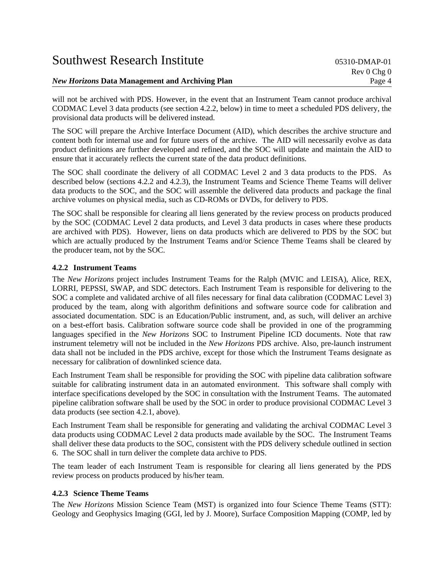| <b>Southwest Research Institute</b>                    | 05310-DMAP-01 |
|--------------------------------------------------------|---------------|
|                                                        | Rev 0 Chg 0   |
| <b>New Horizons Data Management and Archiving Plan</b> | Page 4        |

will not be archived with PDS. However, in the event that an Instrument Team cannot produce archival CODMAC Level 3 data products (see section 4.2.2, below) in time to meet a scheduled PDS delivery, the provisional data products will be delivered instead.

The SOC will prepare the Archive Interface Document (AID), which describes the archive structure and content both for internal use and for future users of the archive. The AID will necessarily evolve as data product definitions are further developed and refined, and the SOC will update and maintain the AID to ensure that it accurately reflects the current state of the data product definitions.

The SOC shall coordinate the delivery of all CODMAC Level 2 and 3 data products to the PDS. As described below (sections 4.2.2 and 4.2.3), the Instrument Teams and Science Theme Teams will deliver data products to the SOC, and the SOC will assemble the delivered data products and package the final archive volumes on physical media, such as CD-ROMs or DVDs, for delivery to PDS.

The SOC shall be responsible for clearing all liens generated by the review process on products produced by the SOC (CODMAC Level 2 data products, and Level 3 data products in cases where these products are archived with PDS). However, liens on data products which are delivered to PDS by the SOC but which are actually produced by the Instrument Teams and/or Science Theme Teams shall be cleared by the producer team, not by the SOC.

## **4.2.2 Instrument Teams**

The *New Horizons* project includes Instrument Teams for the Ralph (MVIC and LEISA), Alice, REX, LORRI, PEPSSI, SWAP, and SDC detectors. Each Instrument Team is responsible for delivering to the SOC a complete and validated archive of all files necessary for final data calibration (CODMAC Level 3) produced by the team, along with algorithm definitions and software source code for calibration and associated documentation. SDC is an Education/Public instrument, and, as such, will deliver an archive on a best-effort basis. Calibration software source code shall be provided in one of the programming languages specified in the *New Horizons* SOC to Instrument Pipeline ICD documents. Note that raw instrument telemetry will not be included in the *New Horizons* PDS archive. Also, pre-launch instrument data shall not be included in the PDS archive, except for those which the Instrument Teams designate as necessary for calibration of downlinked science data.

Each Instrument Team shall be responsible for providing the SOC with pipeline data calibration software suitable for calibrating instrument data in an automated environment. This software shall comply with interface specifications developed by the SOC in consultation with the Instrument Teams. The automated pipeline calibration software shall be used by the SOC in order to produce provisional CODMAC Level 3 data products (see section 4.2.1, above).

Each Instrument Team shall be responsible for generating and validating the archival CODMAC Level 3 data products using CODMAC Level 2 data products made available by the SOC. The Instrument Teams shall deliver these data products to the SOC, consistent with the PDS delivery schedule outlined in section 6. The SOC shall in turn deliver the complete data archive to PDS.

The team leader of each Instrument Team is responsible for clearing all liens generated by the PDS review process on products produced by his/her team.

### **4.2.3 Science Theme Teams**

The *New Horizons* Mission Science Team (MST) is organized into four Science Theme Teams (STT): Geology and Geophysics Imaging (GGI, led by J. Moore), Surface Composition Mapping (COMP, led by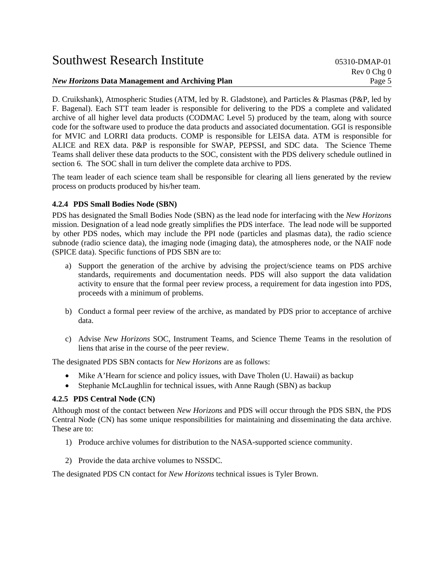| <b>Southwest Research Institute</b>                    | $0.5310 - DMAP - 0.1$<br>Rev 0 Chg 0 |
|--------------------------------------------------------|--------------------------------------|
| <i>New Horizons</i> Data Management and Archiving Plan | Page 5                               |

D. Cruikshank), Atmospheric Studies (ATM, led by R. Gladstone), and Particles & Plasmas (P&P, led by F. Bagenal). Each STT team leader is responsible for delivering to the PDS a complete and validated archive of all higher level data products (CODMAC Level 5) produced by the team, along with source code for the software used to produce the data products and associated documentation. GGI is responsible for MVIC and LORRI data products. COMP is responsible for LEISA data. ATM is responsible for ALICE and REX data. P&P is responsible for SWAP, PEPSSI, and SDC data. The Science Theme Teams shall deliver these data products to the SOC, consistent with the PDS delivery schedule outlined in section 6. The SOC shall in turn deliver the complete data archive to PDS.

The team leader of each science team shall be responsible for clearing all liens generated by the review process on products produced by his/her team.

## **4.2.4 PDS Small Bodies Node (SBN)**

PDS has designated the Small Bodies Node (SBN) as the lead node for interfacing with the *New Horizons* mission. Designation of a lead node greatly simplifies the PDS interface. The lead node will be supported by other PDS nodes, which may include the PPI node (particles and plasmas data), the radio science subnode (radio science data), the imaging node (imaging data), the atmospheres node, or the NAIF node (SPICE data). Specific functions of PDS SBN are to:

- a) Support the generation of the archive by advising the project/science teams on PDS archive standards, requirements and documentation needs. PDS will also support the data validation activity to ensure that the formal peer review process, a requirement for data ingestion into PDS, proceeds with a minimum of problems.
- b) Conduct a formal peer review of the archive, as mandated by PDS prior to acceptance of archive data.
- c) Advise *New Horizons* SOC, Instrument Teams, and Science Theme Teams in the resolution of liens that arise in the course of the peer review.

The designated PDS SBN contacts for *New Horizons* are as follows:

- Mike A'Hearn for science and policy issues, with Dave Tholen (U. Hawaii) as backup
- Stephanie McLaughlin for technical issues, with Anne Raugh (SBN) as backup

### **4.2.5 PDS Central Node (CN)**

Although most of the contact between *New Horizons* and PDS will occur through the PDS SBN, the PDS Central Node (CN) has some unique responsibilities for maintaining and disseminating the data archive. These are to:

- 1) Produce archive volumes for distribution to the NASA-supported science community.
- 2) Provide the data archive volumes to NSSDC.

The designated PDS CN contact for *New Horizons* technical issues is Tyler Brown.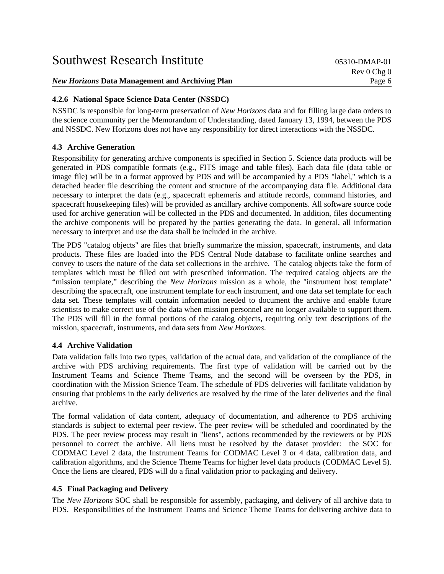| <b>New Horizons Data Management and Archiving Plan</b> | Page 6                         |
|--------------------------------------------------------|--------------------------------|
|                                                        |                                |
|                                                        | $\text{Rev } 0 \text{ Chg } 0$ |
| <b>Southwest Research Institute</b>                    | 05310-DMAP-01                  |

# **4.2.6 National Space Science Data Center (NSSDC)**

NSSDC is responsible for long-term preservation of *New Horizons* data and for filling large data orders to the science community per the Memorandum of Understanding, dated January 13, 1994, between the PDS and NSSDC. New Horizons does not have any responsibility for direct interactions with the NSSDC.

# **4.3 Archive Generation**

Responsibility for generating archive components is specified in Section 5. Science data products will be generated in PDS compatible formats (e.g., FITS image and table files). Each data file (data table or image file) will be in a format approved by PDS and will be accompanied by a PDS "label," which is a detached header file describing the content and structure of the accompanying data file. Additional data necessary to interpret the data (e.g., spacecraft ephemeris and attitude records, command histories, and spacecraft housekeeping files) will be provided as ancillary archive components. All software source code used for archive generation will be collected in the PDS and documented. In addition, files documenting the archive components will be prepared by the parties generating the data. In general, all information necessary to interpret and use the data shall be included in the archive.

The PDS "catalog objects" are files that briefly summarize the mission, spacecraft, instruments, and data products. These files are loaded into the PDS Central Node database to facilitate online searches and convey to users the nature of the data set collections in the archive. The catalog objects take the form of templates which must be filled out with prescribed information. The required catalog objects are the "mission template," describing the *New Horizons* mission as a whole, the "instrument host template" describing the spacecraft, one instrument template for each instrument, and one data set template for each data set. These templates will contain information needed to document the archive and enable future scientists to make correct use of the data when mission personnel are no longer available to support them. The PDS will fill in the formal portions of the catalog objects, requiring only text descriptions of the mission, spacecraft, instruments, and data sets from *New Horizons*.

# **4.4 Archive Validation**

Data validation falls into two types, validation of the actual data, and validation of the compliance of the archive with PDS archiving requirements. The first type of validation will be carried out by the Instrument Teams and Science Theme Teams, and the second will be overseen by the PDS, in coordination with the Mission Science Team. The schedule of PDS deliveries will facilitate validation by ensuring that problems in the early deliveries are resolved by the time of the later deliveries and the final archive.

The formal validation of data content, adequacy of documentation, and adherence to PDS archiving standards is subject to external peer review. The peer review will be scheduled and coordinated by the PDS. The peer review process may result in "liens", actions recommended by the reviewers or by PDS personnel to correct the archive. All liens must be resolved by the dataset provider: the SOC for CODMAC Level 2 data, the Instrument Teams for CODMAC Level 3 or 4 data, calibration data, and calibration algorithms, and the Science Theme Teams for higher level data products (CODMAC Level 5). Once the liens are cleared, PDS will do a final validation prior to packaging and delivery.

# **4.5 Final Packaging and Delivery**

The *New Horizons* SOC shall be responsible for assembly, packaging, and delivery of all archive data to PDS. Responsibilities of the Instrument Teams and Science Theme Teams for delivering archive data to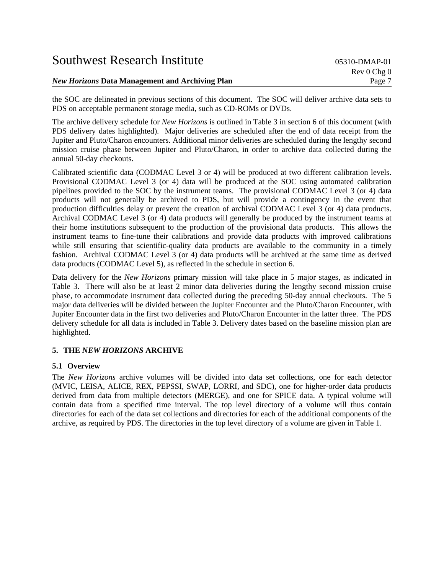| <b>Southwest Research Institute</b>                    | $0.5310 - DMAP - 0.1$ |
|--------------------------------------------------------|-----------------------|
|                                                        | Rev 0 Chg 0           |
| <i>New Horizons</i> Data Management and Archiving Plan | Page 7                |

the SOC are delineated in previous sections of this document. The SOC will deliver archive data sets to PDS on acceptable permanent storage media, such as CD-ROMs or DVDs.

The archive delivery schedule for *New Horizons* is outlined in Table 3 in section 6 of this document (with PDS delivery dates highlighted). Major deliveries are scheduled after the end of data receipt from the Jupiter and Pluto/Charon encounters. Additional minor deliveries are scheduled during the lengthy second mission cruise phase between Jupiter and Pluto/Charon, in order to archive data collected during the annual 50-day checkouts.

Calibrated scientific data (CODMAC Level 3 or 4) will be produced at two different calibration levels. Provisional CODMAC Level 3 (or 4) data will be produced at the SOC using automated calibration pipelines provided to the SOC by the instrument teams. The provisional CODMAC Level 3 (or 4) data products will not generally be archived to PDS, but will provide a contingency in the event that production difficulties delay or prevent the creation of archival CODMAC Level 3 (or 4) data products. Archival CODMAC Level 3 (or 4) data products will generally be produced by the instrument teams at their home institutions subsequent to the production of the provisional data products. This allows the instrument teams to fine-tune their calibrations and provide data products with improved calibrations while still ensuring that scientific-quality data products are available to the community in a timely fashion. Archival CODMAC Level 3 (or 4) data products will be archived at the same time as derived data products (CODMAC Level 5), as reflected in the schedule in section 6.

Data delivery for the *New Horizons* primary mission will take place in 5 major stages, as indicated in Table 3. There will also be at least 2 minor data deliveries during the lengthy second mission cruise phase, to accommodate instrument data collected during the preceding 50-day annual checkouts. The 5 major data deliveries will be divided between the Jupiter Encounter and the Pluto/Charon Encounter, with Jupiter Encounter data in the first two deliveries and Pluto/Charon Encounter in the latter three. The PDS delivery schedule for all data is included in Table 3. Delivery dates based on the baseline mission plan are highlighted.

### **5. THE** *NEW HORIZONS* **ARCHIVE**

### **5.1 Overview**

The *New Horizons* archive volumes will be divided into data set collections, one for each detector (MVIC, LEISA, ALICE, REX, PEPSSI, SWAP, LORRI, and SDC), one for higher-order data products derived from data from multiple detectors (MERGE), and one for SPICE data. A typical volume will contain data from a specified time interval. The top level directory of a volume will thus contain directories for each of the data set collections and directories for each of the additional components of the archive, as required by PDS. The directories in the top level directory of a volume are given in Table 1.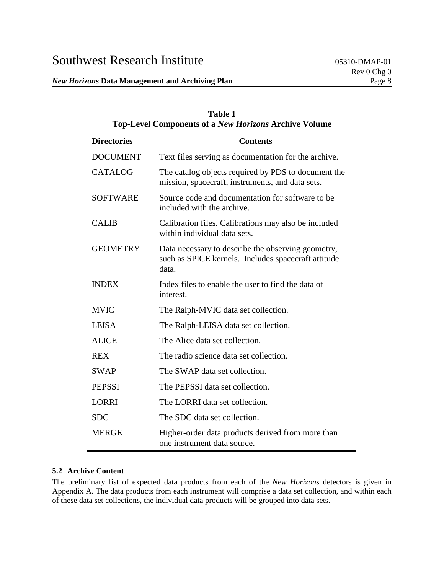| Table 1<br><b>Top-Level Components of a New Horizons Archive Volume</b> |                                                                                                                    |  |  |
|-------------------------------------------------------------------------|--------------------------------------------------------------------------------------------------------------------|--|--|
| <b>Directories</b>                                                      | <b>Contents</b>                                                                                                    |  |  |
| <b>DOCUMENT</b>                                                         | Text files serving as documentation for the archive.                                                               |  |  |
| <b>CATALOG</b>                                                          | The catalog objects required by PDS to document the<br>mission, spacecraft, instruments, and data sets.            |  |  |
| <b>SOFTWARE</b>                                                         | Source code and documentation for software to be<br>included with the archive.                                     |  |  |
| <b>CALIB</b>                                                            | Calibration files. Calibrations may also be included<br>within individual data sets.                               |  |  |
| <b>GEOMETRY</b>                                                         | Data necessary to describe the observing geometry,<br>such as SPICE kernels. Includes spacecraft attitude<br>data. |  |  |
| <b>INDEX</b>                                                            | Index files to enable the user to find the data of<br>interest.                                                    |  |  |
| <b>MVIC</b>                                                             | The Ralph-MVIC data set collection.                                                                                |  |  |
| <b>LEISA</b>                                                            | The Ralph-LEISA data set collection.                                                                               |  |  |
| <b>ALICE</b>                                                            | The Alice data set collection.                                                                                     |  |  |
| <b>REX</b>                                                              | The radio science data set collection.                                                                             |  |  |
| <b>SWAP</b>                                                             | The SWAP data set collection.                                                                                      |  |  |
| <b>PEPSSI</b>                                                           | The PEPSSI data set collection.                                                                                    |  |  |
| <b>LORRI</b>                                                            | The LORRI data set collection.                                                                                     |  |  |
| <b>SDC</b>                                                              | The SDC data set collection.                                                                                       |  |  |
| <b>MERGE</b>                                                            | Higher-order data products derived from more than<br>one instrument data source.                                   |  |  |

# **5.2 Archive Content**

The preliminary list of expected data products from each of the *New Horizons* detectors is given in Appendix A. The data products from each instrument will comprise a data set collection, and within each of these data set collections, the individual data products will be grouped into data sets.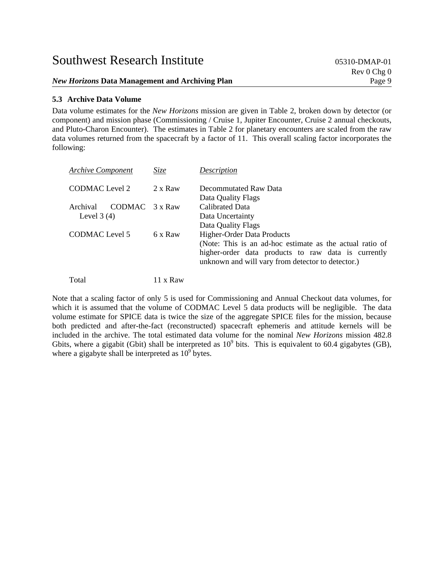*New Horizons* Data Management and Archiving Plan **Page 9** Page 9

### **5.3 Archive Data Volume**

Data volume estimates for the *New Horizons* mission are given in Table 2, broken down by detector (or component) and mission phase (Commissioning / Cruise 1, Jupiter Encounter, Cruise 2 annual checkouts, and Pluto-Charon Encounter). The estimates in Table 2 for planetary encounters are scaled from the raw data volumes returned from the spacecraft by a factor of 11. This overall scaling factor incorporates the following:

| <b>Archive Component</b>                   | Size    | Description                                                                                                                                                                                               |
|--------------------------------------------|---------|-----------------------------------------------------------------------------------------------------------------------------------------------------------------------------------------------------------|
| CODMAC Level 2                             | 2 x Raw | Decommutated Raw Data<br>Data Quality Flags                                                                                                                                                               |
| Archival<br>CODMAC 3 x Raw<br>Level $3(4)$ |         | <b>Calibrated Data</b><br>Data Uncertainty<br>Data Quality Flags                                                                                                                                          |
| CODMAC Level 5                             | 6 x Raw | <b>Higher-Order Data Products</b><br>(Note: This is an ad-hoc estimate as the actual ratio of<br>higher-order data products to raw data is currently<br>unknown and will vary from detector to detector.) |

Total 11 x Raw

Note that a scaling factor of only 5 is used for Commissioning and Annual Checkout data volumes, for which it is assumed that the volume of CODMAC Level 5 data products will be negligible. The data volume estimate for SPICE data is twice the size of the aggregate SPICE files for the mission, because both predicted and after-the-fact (reconstructed) spacecraft ephemeris and attitude kernels will be included in the archive. The total estimated data volume for the nominal *New Horizons* mission 482.8 Gbits, where a gigabit (Gbit) shall be interpreted as  $10^9$  bits. This is equivalent to 60.4 gigabytes (GB), where a gigabyte shall be interpreted as  $10^9$  bytes.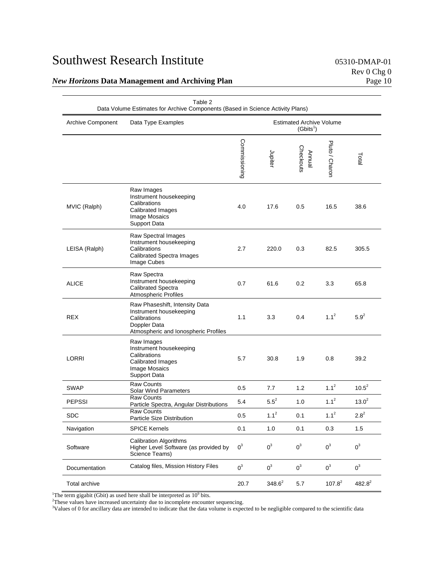| Table 2<br>Data Volume Estimates for Archive Components (Based in Science Activity Plans) |                                                                                                                                   |               |                                                          |                     |                |           |
|-------------------------------------------------------------------------------------------|-----------------------------------------------------------------------------------------------------------------------------------|---------------|----------------------------------------------------------|---------------------|----------------|-----------|
| <b>Archive Component</b>                                                                  | Data Type Examples                                                                                                                |               | <b>Estimated Archive Volume</b><br>(Gbits <sup>1</sup> ) |                     |                |           |
|                                                                                           |                                                                                                                                   | Commissioning | Jupiter                                                  | Checkouts<br>Annual | Pluto / Charon | Total     |
| MVIC (Ralph)                                                                              | Raw Images<br>Instrument housekeeping<br>Calibrations<br><b>Calibrated Images</b><br>Image Mosaics<br>Support Data                | 4.0           | 17.6                                                     | 0.5                 | 16.5           | 38.6      |
| LEISA (Ralph)                                                                             | Raw Spectral Images<br>Instrument housekeeping<br>Calibrations<br><b>Calibrated Spectra Images</b><br>Image Cubes                 | 2.7           | 220.0                                                    | 0.3                 | 82.5           | 305.5     |
| <b>ALICE</b>                                                                              | Raw Spectra<br>Instrument housekeeping<br>Calibrated Spectra<br>Atmospheric Profiles                                              | 0.7           | 61.6                                                     | 0.2                 | 3.3            | 65.8      |
| <b>REX</b>                                                                                | Raw Phaseshift, Intensity Data<br>Instrument housekeeping<br>Calibrations<br>Doppler Data<br>Atmospheric and lonospheric Profiles | 1.1           | 3.3                                                      | 0.4                 | $1.1^2$        | $5.9^{2}$ |
| LORRI                                                                                     | Raw Images<br>Instrument housekeeping<br>Calibrations<br>Calibrated Images<br>Image Mosaics<br>Support Data                       | 5.7           | 30.8                                                     | 1.9                 | 0.8            | 39.2      |
| <b>SWAP</b>                                                                               | <b>Raw Counts</b><br><b>Solar Wind Parameters</b>                                                                                 | 0.5           | 7.7                                                      | 1.2                 | $1.1^2$        | $10.5^2$  |
| <b>PEPSSI</b>                                                                             | <b>Raw Counts</b><br>Particle Spectra, Angular Distributions                                                                      | 5.4           | $5.5^{2}$                                                | 1.0                 | $1.1^2$        | $13.0^2$  |
| <b>SDC</b>                                                                                | <b>Raw Counts</b><br>Particle Size Distribution                                                                                   | 0.5           | $1.1^2$                                                  | 0.1                 | $1.1^2$        | $2.8^{2}$ |
| Navigation                                                                                | <b>SPICE Kernels</b>                                                                                                              | 0.1           | 1.0                                                      | 0.1                 | 0.3            | 1.5       |
| Software                                                                                  | <b>Calibration Algorithms</b><br>Higher Level Software (as provided by<br>Science Teams)                                          | $0^3$         | $0^3$                                                    | $0^3$               | $0^3$          | $0^3$     |
| Documentation                                                                             | Catalog files, Mission History Files                                                                                              | $0^3$         | $0^3$                                                    | $0^3$               | $0^3$          | $0^3$     |
| Total archive                                                                             |                                                                                                                                   | 20.7          | $348.6^2$                                                | 5.7                 | $107.8^2$      | $482.8^2$ |

<sup>1</sup>The term gigabit (Gbit) as used here shall be interpreted as  $10^9$  bits.<br><sup>2</sup>These values have increased uncertainty due to incomplete encounts

<sup>2</sup>These values have increased uncertainty due to incomplete encounter sequencing.<br><sup>3</sup>Values of 0 for ancillary data are intended to indicate that the data volume is expected to be negligible compared to the scientific dat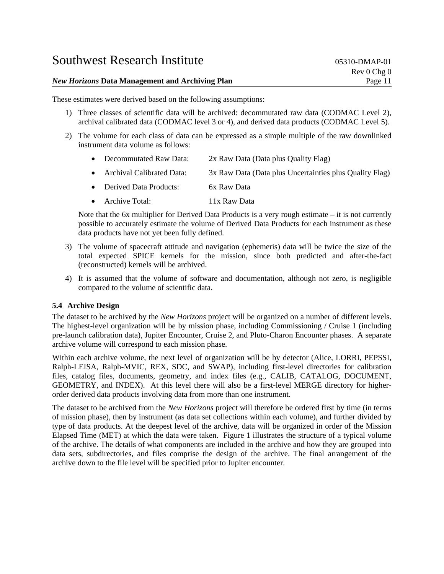| <b>New Horizons Data Management and Archiving Plan</b> | Page 11       |
|--------------------------------------------------------|---------------|
|                                                        | Rev 0 Chg 0   |
| <b>Southwest Research Institute</b>                    | 05310-DMAP-01 |

These estimates were derived based on the following assumptions:

- 1) Three classes of scientific data will be archived: decommutated raw data (CODMAC Level 2), archival calibrated data (CODMAC level 3 or 4), and derived data products (CODMAC Level 5).
- 2) The volume for each class of data can be expressed as a simple multiple of the raw downlinked instrument data volume as follows:
	- Decommutated Raw Data: 2x Raw Data (Data plus Quality Flag)
	- Archival Calibrated Data: 3x Raw Data (Data plus Uncertainties plus Quality Flag)
	- Derived Data Products: 6x Raw Data
	- Archive Total: 11x Raw Data

Note that the 6x multiplier for Derived Data Products is a very rough estimate – it is not currently possible to accurately estimate the volume of Derived Data Products for each instrument as these data products have not yet been fully defined.

- 3) The volume of spacecraft attitude and navigation (ephemeris) data will be twice the size of the total expected SPICE kernels for the mission, since both predicted and after-the-fact (reconstructed) kernels will be archived.
- 4) It is assumed that the volume of software and documentation, although not zero, is negligible compared to the volume of scientific data.

### **5.4 Archive Design**

The dataset to be archived by the *New Horizons* project will be organized on a number of different levels. The highest-level organization will be by mission phase, including Commissioning / Cruise 1 (including pre-launch calibration data), Jupiter Encounter, Cruise 2, and Pluto-Charon Encounter phases. A separate archive volume will correspond to each mission phase.

Within each archive volume, the next level of organization will be by detector (Alice, LORRI, PEPSSI, Ralph-LEISA, Ralph-MVIC, REX, SDC, and SWAP), including first-level directories for calibration files, catalog files, documents, geometry, and index files (e.g., CALIB, CATALOG, DOCUMENT, GEOMETRY, and INDEX). At this level there will also be a first-level MERGE directory for higherorder derived data products involving data from more than one instrument.

The dataset to be archived from the *New Horizons* project will therefore be ordered first by time (in terms of mission phase), then by instrument (as data set collections within each volume), and further divided by type of data products. At the deepest level of the archive, data will be organized in order of the Mission Elapsed Time (MET) at which the data were taken. Figure 1 illustrates the structure of a typical volume of the archive. The details of what components are included in the archive and how they are grouped into data sets, subdirectories, and files comprise the design of the archive. The final arrangement of the archive down to the file level will be specified prior to Jupiter encounter.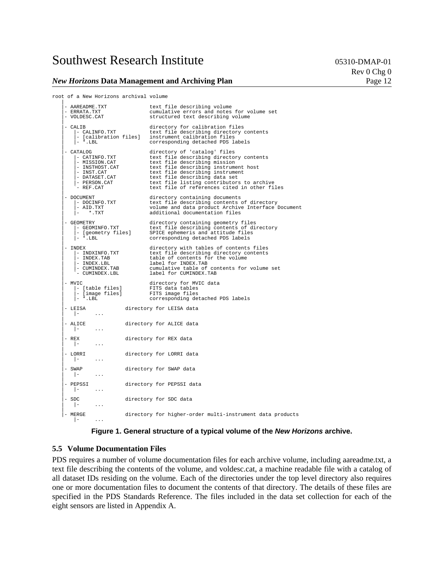#### *New Horizons* Data Management and Archiving Plan **Page 12** Page 12

Rev 0 Chg 0

```
root of a New Horizons archival volume
```

| - AAREADME.TXT<br>- ERRATA.TXT<br>- VOLDESC.CAT                                                                           | text file describing volume<br>cumulative errors and notes for volume set<br>structured text describing volume                                                                                                                                                                                                   |
|---------------------------------------------------------------------------------------------------------------------------|------------------------------------------------------------------------------------------------------------------------------------------------------------------------------------------------------------------------------------------------------------------------------------------------------------------|
| - CALIB<br>- CALINFO.TXT<br>$\vert - \star$ .LBL                                                                          | directory for calibration files<br>text file describing directory contents<br>- [calibration files] instrument calibration files<br>corresponding detached PDS labels                                                                                                                                            |
| - CATALOG<br>- CATINFO.TXT<br>- MISSION.CAT<br>- INSTHOST.CAT<br>- INST.CAT<br>- DATASET.CAT<br>- PERSON.CAT<br>- REF.CAT | directory of 'catalog' files<br>text file describing directory contents<br>text file describing mission<br>text file describing instrument host<br>text file describing instrument<br>text file describing data set<br>text file listing contributors to archive<br>text file of references cited in other files |
| - DOCUMENT<br>- DOCINFO.TXT<br>- AID TXT<br>- AID.TXT<br>$ *$ $,TXT$                                                      | directory containing documents<br>text file describing contents of directory<br>volume and data product Archive Interface Document<br>additional documentation files                                                                                                                                             |
| - GEOMETRY<br>EOMETRY<br> - GEOMINFO.TXT<br> - [geometry files]<br>$-$ *.LBL                                              | directory containing geometry files<br>text file describing contents of directory<br>SPICE ephemeris and attitude files<br>corresponding detached PDS labels                                                                                                                                                     |
| - INDEX<br> - INDXINFO.TXT<br>$-$ INDEX. TAB<br>$ -$ INDEX.LBL<br>- CUMINDEX.TAB<br>- CUMINDEX.LBL                        | directory with tables of contents files<br>text file describing directory contents<br>table of contents for the volume<br>label for INDEX.TAB<br>cumulative table of contents for volume set<br>label for CUMINDEX.TAB                                                                                           |
| - MVIC<br>$\vert$ - $\star$ .LBL                                                                                          | directory for MVIC data<br>FITS data tables<br>FITS image files<br>corresponding detached PDS labels                                                                                                                                                                                                             |
| - LEISA<br>$\mathbf{r}$ and $\mathbf{r}$<br>$\cdots$                                                                      | directory for LEISA data                                                                                                                                                                                                                                                                                         |
| - ALICE<br>$\mathbf{I} = \mathbf{I}$<br>$\cdots$                                                                          | directory for ALICE data                                                                                                                                                                                                                                                                                         |
| $-$ REX<br>$\vert - \vert$<br>$\sim$ $\sim$ $\sim$                                                                        | directory for REX data                                                                                                                                                                                                                                                                                           |
| - LORRI<br>$\vert - \vert$<br>$\ldots$                                                                                    | directory for LORRI data                                                                                                                                                                                                                                                                                         |
| - SWAP<br>$\vert - \vert$<br>$\sim$ $\sim$ $\sim$                                                                         | directory for SWAP data                                                                                                                                                                                                                                                                                          |
| - PEPSSI<br>$\vert - \vert$<br>$\cdots$                                                                                   | directory for PEPSSI data                                                                                                                                                                                                                                                                                        |
| - SDC<br>$\vert - \vert$<br>$\sim 100$                                                                                    | directory for SDC data                                                                                                                                                                                                                                                                                           |
| - MERGE<br>$\vert - \vert$<br>$\cdots$                                                                                    | directory for higher-order multi-instrument data products                                                                                                                                                                                                                                                        |

**Figure 1. General structure of a typical volume of the** *New Horizons* **archive.** 

#### **5.5 Volume Documentation Files**

PDS requires a number of volume documentation files for each archive volume, including aareadme.txt, a text file describing the contents of the volume, and voldesc.cat, a machine readable file with a catalog of all dataset IDs residing on the volume. Each of the directories under the top level directory also requires one or more documentation files to document the contents of that directory. The details of these files are specified in the PDS Standards Reference. The files included in the data set collection for each of the eight sensors are listed in Appendix A.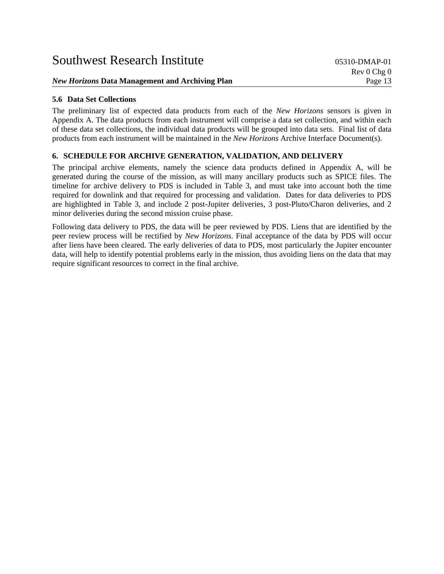# **5.6 Data Set Collections**

The preliminary list of expected data products from each of the *New Horizons* sensors is given in Appendix A. The data products from each instrument will comprise a data set collection, and within each of these data set collections, the individual data products will be grouped into data sets. Final list of data products from each instrument will be maintained in the *New Horizons* Archive Interface Document(s).

# **6. SCHEDULE FOR ARCHIVE GENERATION, VALIDATION, AND DELIVERY**

The principal archive elements, namely the science data products defined in Appendix A, will be generated during the course of the mission, as will many ancillary products such as SPICE files. The timeline for archive delivery to PDS is included in Table 3, and must take into account both the time required for downlink and that required for processing and validation. Dates for data deliveries to PDS are highlighted in Table 3, and include 2 post-Jupiter deliveries, 3 post-Pluto/Charon deliveries, and 2 minor deliveries during the second mission cruise phase.

Following data delivery to PDS, the data will be peer reviewed by PDS. Liens that are identified by the peer review process will be rectified by *New Horizons*. Final acceptance of the data by PDS will occur after liens have been cleared. The early deliveries of data to PDS, most particularly the Jupiter encounter data, will help to identify potential problems early in the mission, thus avoiding liens on the data that may require significant resources to correct in the final archive.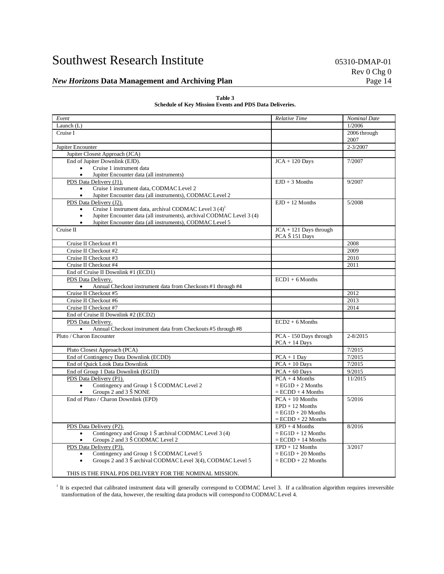#### *New Horizons* Data Management and Archiving Plan **Page 14** Page 14

#### **Table 3 Schedule of Key Mission Events and PDS Data Deliveries.**

| Event                                                                              | <b>Relative Time</b>   | <b>Nominal Date</b>  |
|------------------------------------------------------------------------------------|------------------------|----------------------|
| Launch $(L)$                                                                       |                        | 1/2006               |
| Cruise I                                                                           |                        | 2006 through<br>2007 |
| Jupiter Encounter                                                                  |                        | $2 - 3/2007$         |
| Jupiter Closest Approach (JCA)                                                     |                        |                      |
| End of Jupiter Downlink (EJD).                                                     | $JCA + 120$ Days       | 7/2007               |
| Cruise 1 instrument data                                                           |                        |                      |
| Jupiter Encounter data (all instruments)<br>$\bullet$                              |                        |                      |
| PDS Data Delivery (J1).                                                            | $EJD + 3$ Months       | 9/2007               |
| Cruise 1 instrument data, CODMAC Level 2                                           |                        |                      |
| Jupiter Encounter data (all instruments), CODMAC Level 2<br>$\bullet$              |                        |                      |
| PDS Data Delivery (J2).                                                            | $EJD + 12$ Months      | 5/2008               |
| Cruise 1 instrument data, archival CODMAC Level 3 (4) <sup>1</sup>                 |                        |                      |
| Jupiter Encounter data (all instruments), archival CODMAC Level 3 (4)<br>$\bullet$ |                        |                      |
| Jupiter Encounter data (all instruments), CODMAC Level 5<br>$\bullet$              |                        |                      |
| Cruise II                                                                          | JCA + 121 Days through |                      |
|                                                                                    | PCA Š 151 Days         |                      |
| Cruise II Checkout #1                                                              |                        | 2008                 |
| Cruise II Checkout #2                                                              |                        | 2009                 |
| Cruise II Checkout #3                                                              |                        | 2010                 |
| Cruise II Checkout #4                                                              |                        | 2011                 |
| End of Cruise II Downlink #1 (ECD1)                                                |                        |                      |
| PDS Data Delivery.                                                                 | $ECD1 + 6$ Months      |                      |
| Annual Checkout instrument data from Checkouts #1 through #4<br>$\bullet$          |                        |                      |
| Cruise II Checkout #5                                                              |                        | 2012                 |
| Cruise II Checkout #6                                                              |                        | 2013                 |
| Cruise II Checkout #7                                                              |                        | 2014                 |
| End of Cruise II Downlink #2 (ECD2)                                                |                        |                      |
| PDS Data Delivery.                                                                 | $ECD2 + 6$ Months      |                      |
| $\bullet$<br>Annual Checkout instrument data from Checkouts #5 through #8          |                        |                      |
| Pluto / Charon Encounter                                                           | PCA - 150 Days through | $2 - 8/2015$         |
|                                                                                    | $PCA + 14$ Days        |                      |
| Pluto Closest Approach (PCA)                                                       |                        | 7/2015               |
| End of Contingency Data Downlink (ECDD)                                            | $PCA + 1$ Day          | 7/2015               |
| End of Quick Look Data Downlink                                                    | $PCA + 10$ Days        | 7/2015               |
| End of Group 1 Data Downlink (EG1D)                                                | $PCA + 60$ Days        | 9/2015               |
| PDS Data Delivery (P1).                                                            | $PCA + 4$ Months       | 11/2015              |
| Contingency and Group 1 Š CODMAC Level 2<br>$\bullet$                              | $=$ EG1D + 2 Months    |                      |
| Groups 2 and 3 Š NONE<br>$\bullet$                                                 | $= ECDD + 4$ Months    |                      |
| End of Pluto / Charon Downlink (EPD)                                               | $PCA + 10$ Months      | 5/2016               |
|                                                                                    | $EPD + 12$ Months      |                      |
|                                                                                    | $=$ EG1D + 20 Months   |                      |
|                                                                                    | $= ECDD + 22$ Months   |                      |
| PDS Data Delivery (P2).                                                            | $EPD + 4$ Months       | 8/2016               |
| Contingency and Group 1 Š archival CODMAC Level 3 (4)<br>$\bullet$                 | $=$ EG1D + 12 Months   |                      |
| Groups 2 and 3 Š CODMAC Level 2                                                    | $=$ ECDD + 14 Months   |                      |
| PDS Data Delivery (P3).                                                            | $EPD + 12$ Months      | 3/2017               |
| Contingency and Group 1 Š CODMAC Level 5<br>$\bullet$                              | $=$ EG1D + 20 Months   |                      |
| Groups 2 and 3 Š archival CODMAC Level 3(4), CODMAC Level 5<br>$\bullet$           | $= ECDD + 22$ Months   |                      |
| THIS IS THE FINAL PDS DELIVERY FOR THE NOMINAL MISSION.                            |                        |                      |

<sup>1</sup> It is expected that calibrated instrument data will generally correspond to CODMAC Level 3. If a calibration algorithm requires irreversible transformation of the data, however, the resulting data products will correspond to CODMAC Level 4.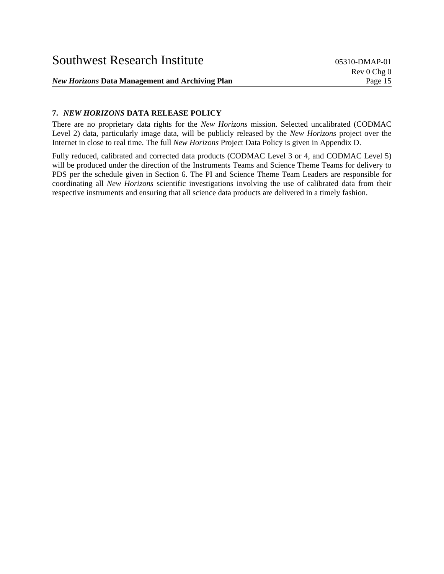# **7.** *NEW HORIZONS* **DATA RELEASE POLICY**

There are no proprietary data rights for the *New Horizons* mission. Selected uncalibrated (CODMAC Level 2) data, particularly image data, will be publicly released by the *New Horizons* project over the Internet in close to real time. The full *New Horizons* Project Data Policy is given in Appendix D.

Fully reduced, calibrated and corrected data products (CODMAC Level 3 or 4, and CODMAC Level 5) will be produced under the direction of the Instruments Teams and Science Theme Teams for delivery to PDS per the schedule given in Section 6. The PI and Science Theme Team Leaders are responsible for coordinating all *New Horizons* scientific investigations involving the use of calibrated data from their respective instruments and ensuring that all science data products are delivered in a timely fashion.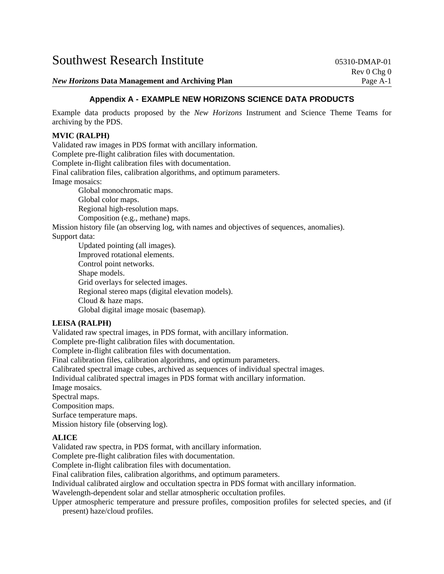*New Horizons* Data Management and Archiving Plan **Page 1966** Page A-1

# **Appendix A - EXAMPLE NEW HORIZONS SCIENCE DATA PRODUCTS**

Example data products proposed by the *New Horizons* Instrument and Science Theme Teams for archiving by the PDS.

#### **MVIC (RALPH)**

Validated raw images in PDS format with ancillary information. Complete pre-flight calibration files with documentation. Complete in-flight calibration files with documentation. Final calibration files, calibration algorithms, and optimum parameters. Image mosaics:

 Global monochromatic maps. Global color maps. Regional high-resolution maps. Composition (e.g., methane) maps.

Mission history file (an observing log, with names and objectives of sequences, anomalies). Support data:

 Updated pointing (all images). Improved rotational elements. Control point networks. Shape models. Grid overlays for selected images. Regional stereo maps (digital elevation models). Cloud & haze maps. Global digital image mosaic (basemap).

## **LEISA (RALPH)**

Validated raw spectral images, in PDS format, with ancillary information.

Complete pre-flight calibration files with documentation.

Complete in-flight calibration files with documentation.

Final calibration files, calibration algorithms, and optimum parameters.

Calibrated spectral image cubes, archived as sequences of individual spectral images.

Individual calibrated spectral images in PDS format with ancillary information.

Image mosaics.

Spectral maps.

Composition maps.

Surface temperature maps.

Mission history file (observing log).

#### **ALICE**

Validated raw spectra, in PDS format, with ancillary information.

Complete pre-flight calibration files with documentation.

Complete in-flight calibration files with documentation.

Final calibration files, calibration algorithms, and optimum parameters.

Individual calibrated airglow and occultation spectra in PDS format with ancillary information.

Wavelength-dependent solar and stellar atmospheric occultation profiles.

Upper atmospheric temperature and pressure profiles, composition profiles for selected species, and (if present) haze/cloud profiles.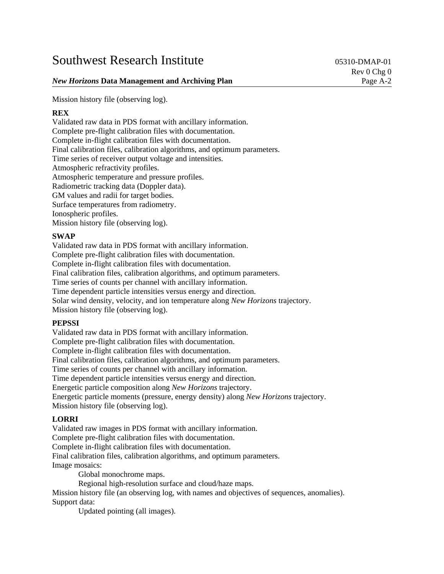## *New Horizons* Data Management and Archiving Plan **Page 1986** A-2

Mission history file (observing log).

## **REX**

Validated raw data in PDS format with ancillary information. Complete pre-flight calibration files with documentation. Complete in-flight calibration files with documentation. Final calibration files, calibration algorithms, and optimum parameters. Time series of receiver output voltage and intensities. Atmospheric refractivity profiles. Atmospheric temperature and pressure profiles. Radiometric tracking data (Doppler data). GM values and radii for target bodies. Surface temperatures from radiometry. Ionospheric profiles. Mission history file (observing log).

## **SWAP**

Validated raw data in PDS format with ancillary information. Complete pre-flight calibration files with documentation. Complete in-flight calibration files with documentation. Final calibration files, calibration algorithms, and optimum parameters. Time series of counts per channel with ancillary information. Time dependent particle intensities versus energy and direction. Solar wind density, velocity, and ion temperature along *New Horizons* trajectory. Mission history file (observing log).

# **PEPSSI**

Validated raw data in PDS format with ancillary information. Complete pre-flight calibration files with documentation. Complete in-flight calibration files with documentation. Final calibration files, calibration algorithms, and optimum parameters. Time series of counts per channel with ancillary information. Time dependent particle intensities versus energy and direction. Energetic particle composition along *New Horizons* trajectory. Energetic particle moments (pressure, energy density) along *New Horizons* trajectory. Mission history file (observing log).

# **LORRI**

Validated raw images in PDS format with ancillary information. Complete pre-flight calibration files with documentation. Complete in-flight calibration files with documentation. Final calibration files, calibration algorithms, and optimum parameters. Image mosaics: Global monochrome maps.

Regional high-resolution surface and cloud/haze maps.

Mission history file (an observing log, with names and objectives of sequences, anomalies). Support data:

Updated pointing (all images).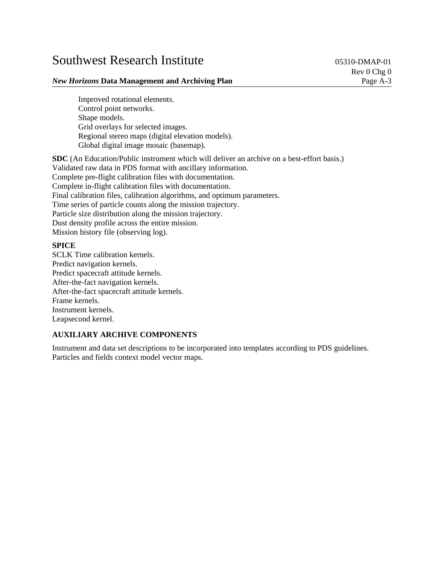### *New Horizons* Data Management and Archiving Plan **Page A-3** Page A-3

 Improved rotational elements. Control point networks. Shape models. Grid overlays for selected images. Regional stereo maps (digital elevation models). Global digital image mosaic (basemap).

**SDC** (An Education/Public instrument which will deliver an archive on a best-effort basis.) Validated raw data in PDS format with ancillary information. Complete pre-flight calibration files with documentation. Complete in-flight calibration files with documentation. Final calibration files, calibration algorithms, and optimum parameters. Time series of particle counts along the mission trajectory. Particle size distribution along the mission trajectory. Dust density profile across the entire mission. Mission history file (observing log).

## **SPICE**

SCLK Time calibration kernels. Predict navigation kernels. Predict spacecraft attitude kernels. After-the-fact navigation kernels. After-the-fact spacecraft attitude kernels. Frame kernels. Instrument kernels. Leapsecond kernel.

# **AUXILIARY ARCHIVE COMPONENTS**

Instrument and data set descriptions to be incorporated into templates according to PDS guidelines. Particles and fields context model vector maps.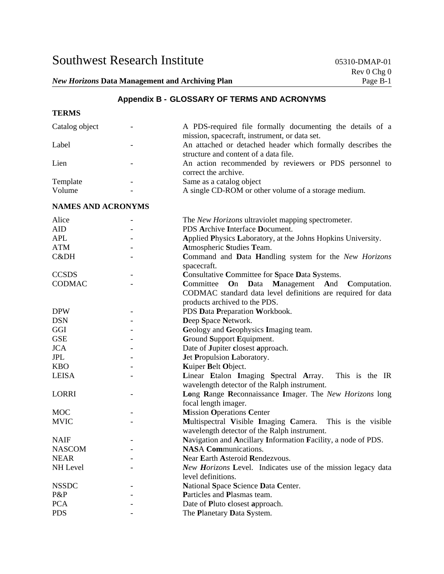# **Appendix B - GLOSSARY OF TERMS AND ACRONYMS**

### **TERMS**

| Catalog object            |  | A PDS-required file formally documenting the details of a                                                                                             |  |  |  |
|---------------------------|--|-------------------------------------------------------------------------------------------------------------------------------------------------------|--|--|--|
| Label                     |  | mission, spacecraft, instrument, or data set.<br>An attached or detached header which formally describes the<br>structure and content of a data file. |  |  |  |
| Lien                      |  | An action recommended by reviewers or PDS personnel to<br>correct the archive.                                                                        |  |  |  |
| Template                  |  | Same as a catalog object                                                                                                                              |  |  |  |
| Volume                    |  | A single CD-ROM or other volume of a storage medium.                                                                                                  |  |  |  |
| <b>NAMES AND ACRONYMS</b> |  |                                                                                                                                                       |  |  |  |
| Alice                     |  | The New Horizons ultraviolet mapping spectrometer.                                                                                                    |  |  |  |
| <b>AID</b>                |  | PDS Archive Interface Document.                                                                                                                       |  |  |  |
| <b>APL</b>                |  | Applied Physics Laboratory, at the Johns Hopkins University.                                                                                          |  |  |  |
| <b>ATM</b>                |  | Atmospheric Studies Team.                                                                                                                             |  |  |  |
| C&DH                      |  | Command and Data Handling system for the New Horizons<br>spacecraft.                                                                                  |  |  |  |
| <b>CCSDS</b>              |  | Consultative Committee for Space Data Systems.                                                                                                        |  |  |  |
| <b>CODMAC</b>             |  | Management<br>Committee<br>On<br><b>D</b> ata<br>And<br>Computation.                                                                                  |  |  |  |
|                           |  | CODMAC standard data level definitions are required for data                                                                                          |  |  |  |
|                           |  | products archived to the PDS.                                                                                                                         |  |  |  |
| <b>DPW</b>                |  | PDS Data Preparation Workbook.                                                                                                                        |  |  |  |
| <b>DSN</b>                |  | Deep Space Network.                                                                                                                                   |  |  |  |
| GGI                       |  | Geology and Geophysics Imaging team.                                                                                                                  |  |  |  |
| <b>GSE</b>                |  | Ground Support Equipment.                                                                                                                             |  |  |  |
| <b>JCA</b>                |  | Date of Jupiter closest approach.                                                                                                                     |  |  |  |
| JPL                       |  | Jet Propulsion Laboratory.                                                                                                                            |  |  |  |
| <b>KBO</b>                |  | Kuiper Belt Object.                                                                                                                                   |  |  |  |
| <b>LEISA</b>              |  | Linear Etalon Imaging Spectral Array.<br>This is the IR                                                                                               |  |  |  |
|                           |  | wavelength detector of the Ralph instrument.                                                                                                          |  |  |  |
| <b>LORRI</b>              |  | Long Range Reconnaissance Imager. The New Horizons long                                                                                               |  |  |  |
|                           |  | focal length imager.                                                                                                                                  |  |  |  |
| <b>MOC</b>                |  | <b>Mission Operations Center</b>                                                                                                                      |  |  |  |
| <b>MVIC</b>               |  | Multispectral Visible Imaging Camera.<br>This is the visible                                                                                          |  |  |  |
|                           |  | wavelength detector of the Ralph instrument.                                                                                                          |  |  |  |
| <b>NAIF</b>               |  | Navigation and Ancillary Information Facility, a node of PDS.                                                                                         |  |  |  |
| <b>NASCOM</b>             |  | <b>NASA Communications.</b>                                                                                                                           |  |  |  |
| <b>NEAR</b>               |  | Near Earth Asteroid Rendezvous.                                                                                                                       |  |  |  |
| NH Level                  |  | New Horizons Level. Indicates use of the mission legacy data                                                                                          |  |  |  |
|                           |  | level definitions.                                                                                                                                    |  |  |  |
| <b>NSSDC</b>              |  | National Space Science Data Center.                                                                                                                   |  |  |  |
| P&P                       |  | Particles and Plasmas team.                                                                                                                           |  |  |  |
| <b>PCA</b>                |  | Date of Pluto closest approach.                                                                                                                       |  |  |  |
| <b>PDS</b>                |  | The Planetary Data System.                                                                                                                            |  |  |  |
|                           |  |                                                                                                                                                       |  |  |  |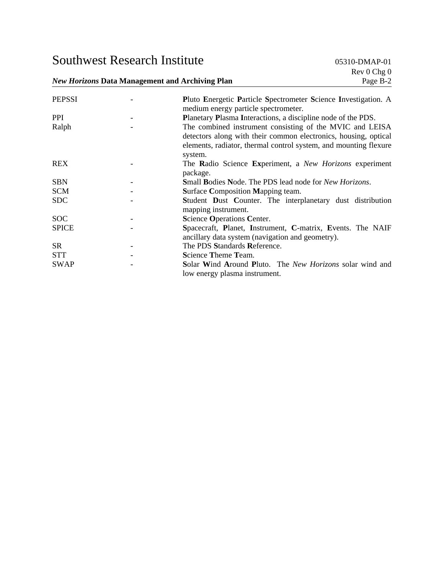*New Horizons* Data Management and Archiving Plan

| <b>PEPSSI</b> | Pluto Energetic Particle Spectrometer Science Investigation. A<br>medium energy particle spectrometer.                                                                                          |
|---------------|-------------------------------------------------------------------------------------------------------------------------------------------------------------------------------------------------|
| <b>PPI</b>    | Planetary Plasma Interactions, a discipline node of the PDS.                                                                                                                                    |
| Ralph         | The combined instrument consisting of the MVIC and LEISA<br>detectors along with their common electronics, housing, optical<br>elements, radiator, thermal control system, and mounting flexure |
| <b>REX</b>    | system.<br>The Radio Science Experiment, a New Horizons experiment                                                                                                                              |
|               | package.                                                                                                                                                                                        |
| <b>SBN</b>    | <b>Small Bodies Node. The PDS lead node for New Horizons.</b>                                                                                                                                   |
| <b>SCM</b>    | <b>Surface Composition Mapping team.</b>                                                                                                                                                        |
| <b>SDC</b>    | Student Dust Counter. The interplanetary dust distribution<br>mapping instrument.                                                                                                               |
| <b>SOC</b>    | Science Operations Center.                                                                                                                                                                      |
| <b>SPICE</b>  | Spacecraft, Planet, Instrument, C-matrix, Events. The NAIF<br>ancillary data system (navigation and geometry).                                                                                  |
| <b>SR</b>     | The PDS Standards Reference.                                                                                                                                                                    |
| <b>STT</b>    | Science Theme Team.                                                                                                                                                                             |
| <b>SWAP</b>   | Solar Wind Around Pluto. The New Horizons solar wind and<br>low energy plasma instrument.                                                                                                       |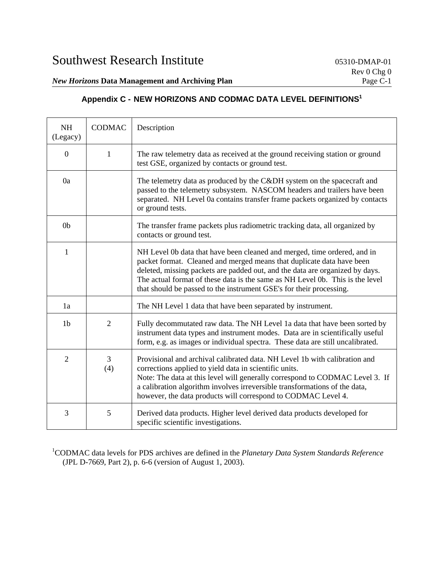# *New Horizons* Data Management and Archiving Plan

# **Appendix C - NEW HORIZONS AND CODMAC DATA LEVEL DEFINITIONS1**

| <b>NH</b><br>(Legacy) | <b>CODMAC</b>  | Description                                                                                                                                                                                                                                                                                                                                                                               |
|-----------------------|----------------|-------------------------------------------------------------------------------------------------------------------------------------------------------------------------------------------------------------------------------------------------------------------------------------------------------------------------------------------------------------------------------------------|
| $\boldsymbol{0}$      | 1              | The raw telemetry data as received at the ground receiving station or ground<br>test GSE, organized by contacts or ground test.                                                                                                                                                                                                                                                           |
| 0a                    |                | The telemetry data as produced by the C&DH system on the spacecraft and<br>passed to the telemetry subsystem. NASCOM headers and trailers have been<br>separated. NH Level 0a contains transfer frame packets organized by contacts<br>or ground tests.                                                                                                                                   |
| 0 <sub>b</sub>        |                | The transfer frame packets plus radiometric tracking data, all organized by<br>contacts or ground test.                                                                                                                                                                                                                                                                                   |
| 1                     |                | NH Level 0b data that have been cleaned and merged, time ordered, and in<br>packet format. Cleaned and merged means that duplicate data have been<br>deleted, missing packets are padded out, and the data are organized by days.<br>The actual format of these data is the same as NH Level 0b. This is the level<br>that should be passed to the instrument GSE's for their processing. |
| 1a                    |                | The NH Level 1 data that have been separated by instrument.                                                                                                                                                                                                                                                                                                                               |
| 1 <sub>b</sub>        | $\overline{2}$ | Fully decommutated raw data. The NH Level 1a data that have been sorted by<br>instrument data types and instrument modes. Data are in scientifically useful<br>form, e.g. as images or individual spectra. These data are still uncalibrated.                                                                                                                                             |
| $\overline{2}$        | 3<br>(4)       | Provisional and archival calibrated data. NH Level 1b with calibration and<br>corrections applied to yield data in scientific units.<br>Note: The data at this level will generally correspond to CODMAC Level 3. If<br>a calibration algorithm involves irreversible transformations of the data,<br>however, the data products will correspond to CODMAC Level 4.                       |
| 3                     | 5              | Derived data products. Higher level derived data products developed for<br>specific scientific investigations.                                                                                                                                                                                                                                                                            |

1 CODMAC data levels for PDS archives are defined in the *Planetary Data System Standards Reference* (JPL D-7669, Part 2), p. 6-6 (version of August 1, 2003).